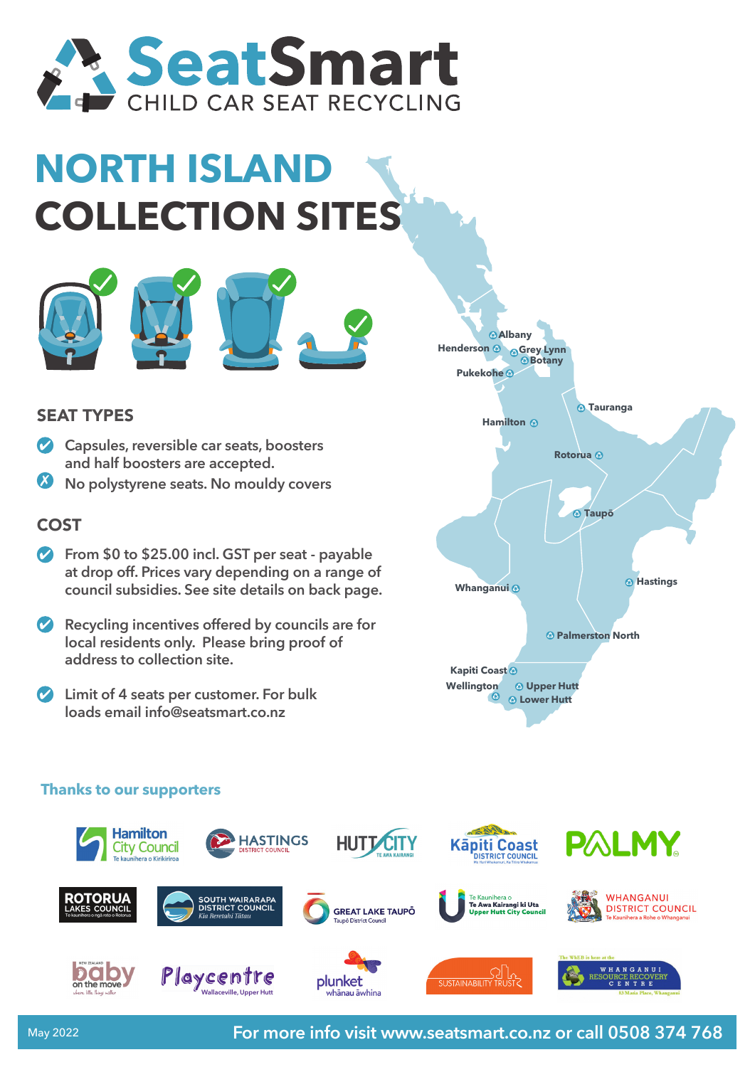

## **NORTH ISLAN COLLECTION SITES**



## SEAT TYPES

- **Capsules, reversible car seats, boosters and half boosters are accepted.**
- **No polystyrene seats. No mouldy covers**

## COST

- **From \$0 to \$25.00 incl. GST per seat payable at drop off. Prices vary depending on a range of council subsidies. See site details on back page.**
- **Recycling incentives offered by councils are for local residents only. Please bring proof of address to collection site.**
- **Limit of 4 seats per customer. For bulk loads email info@seatsmart.co.nz**



## **Thanks to our supporters**

**Queenstown Cromwell**



**For more info visit www.seatsmart.co.nz or call 0508 374 768**